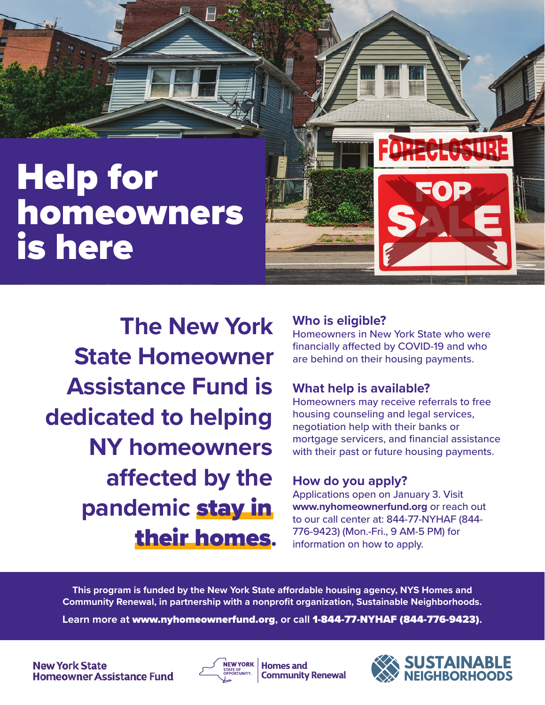# Help for homeowners is here

**The New York State Homeowner Assistance Fund is dedicated to helping NY homeowners affected by the pandemic** stay in their homes**.**

### **Who is eligible?**

Homeowners in New York State who were financially affected by COVID-19 and who are behind on their housing payments.

HE SUR

FOE

## **What help is available?**

Homeowners may receive referrals to free housing counseling and legal services, negotiation help with their banks or mortgage servicers, and financial assistance with their past or future housing payments.

## **How do you apply?**

Applications open on January 3. Visit **www.nyhomeownerfund.org** or reach out to our call center at: 844-77-NYHAF (844- 776-9423) (Mon.-Fri., 9 AM-5 PM) for information on how to apply.

**This program is funded by the New York State affordable housing agency, NYS Homes and Community Renewal, in partnership with a nonprofit organization, Sustainable Neighborhoods.** 

**Learn more at** www.nyhomeownerfund.org**, or call** 1-844-77-NYHAF (844-776-9423)**.**



**Homes and Community Renewal**